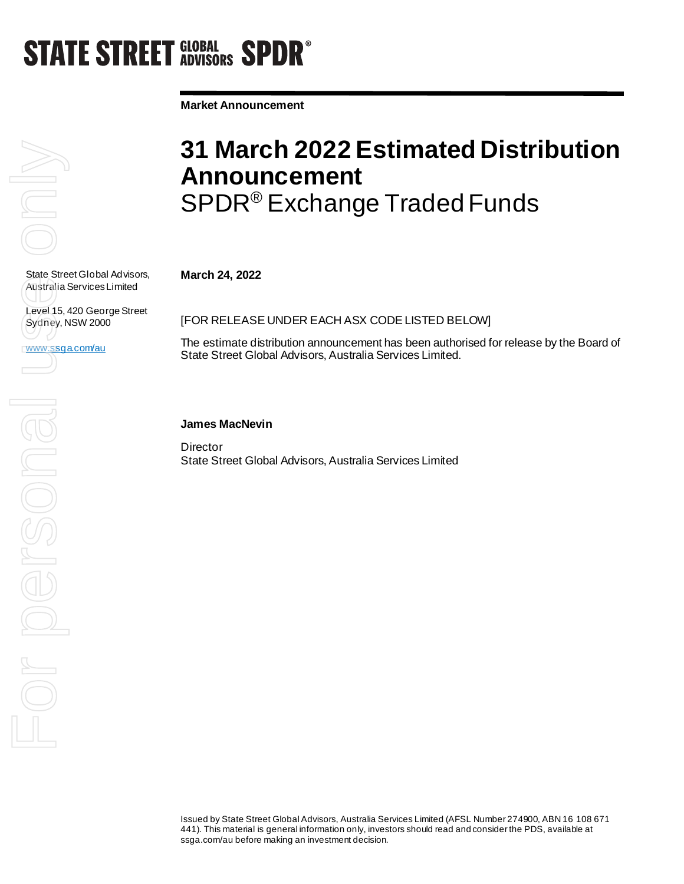# **STATE STREET GLOBAL SPDR<sup>®</sup>**

**Market Announcement**

State Street Global Advisors, Australia Services Limited

Level 15, 420 George Street Sydney, NSW 2000

www.ssga.com/au

### **31 March 2022 Estimated Distribution Announcement**  SPDR® Exchange Traded Funds

**March 24, 2022**

[FOR RELEASE UNDER EACH ASX CODE LISTED BELOW]

The estimate distribution announcement has been authorised for release by the Board of State Street Global Advisors, Australia Services Limited.

### **James MacNevin**

**Director** State Street Global Advisors, Australia Services Limited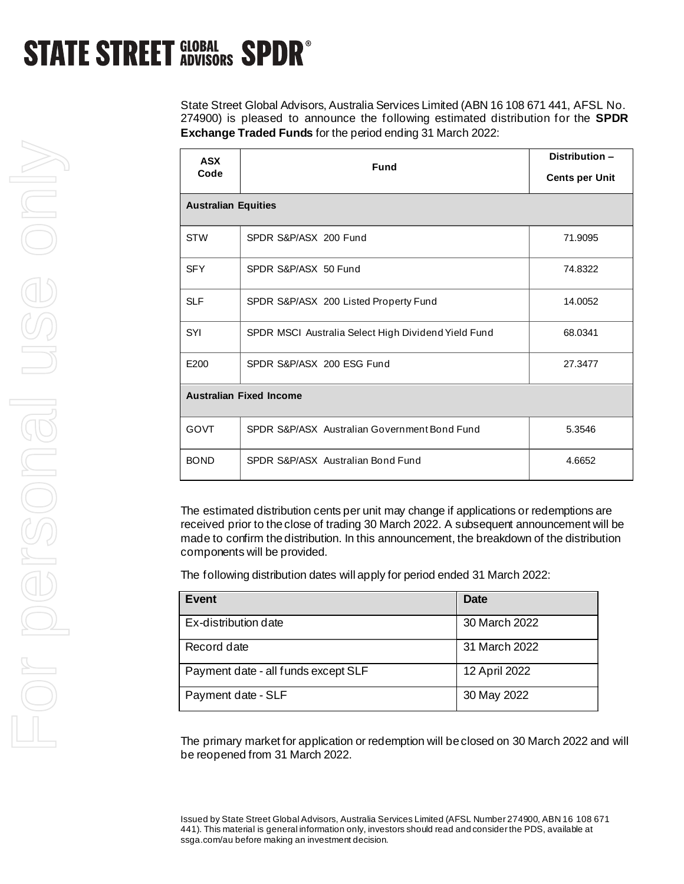## **STATE STREET GLOBAL SPDR<sup>®</sup>**

State Street Global Advisors, Australia Services Limited (ABN 16 108 671 441, AFSL No. 274900) is pleased to announce the following estimated distribution for the **SPDR Exchange Traded Funds** for the period ending 31 March 2022:

| <b>ASX</b><br>Code             | <b>Fund</b>                                         | Distribution -<br><b>Cents per Unit</b> |  |
|--------------------------------|-----------------------------------------------------|-----------------------------------------|--|
| <b>Australian Equities</b>     |                                                     |                                         |  |
| <b>STW</b>                     | SPDR S&P/ASX 200 Fund                               | 71.9095                                 |  |
| <b>SFY</b>                     | SPDR S&P/ASX 50 Fund                                | 74.8322                                 |  |
| <b>SLF</b>                     | SPDR S&P/ASX 200 Listed Property Fund               | 14.0052                                 |  |
| SYI                            | SPDR MSCI Australia Select High Dividend Yield Fund | 68.0341                                 |  |
| E200                           | SPDR S&P/ASX 200 ESG Fund                           | 27.3477                                 |  |
| <b>Australian Fixed Income</b> |                                                     |                                         |  |
| <b>GOVT</b>                    | SPDR S&P/ASX Australian Government Bond Fund        | 5.3546                                  |  |
| <b>BOND</b>                    | SPDR S&P/ASX Australian Bond Fund                   | 4.6652                                  |  |

The estimated distribution cents per unit may change if applications or redemptions are received prior to the close of trading 30 March 2022. A subsequent announcement will be made to confirm the distribution. In this announcement, the breakdown of the distribution components will be provided.

The following distribution dates will apply for period ended 31 March 2022:

| Event                               | <b>Date</b>   |
|-------------------------------------|---------------|
| Ex-distribution date                | 30 March 2022 |
| Record date                         | 31 March 2022 |
| Payment date - all funds except SLF | 12 April 2022 |
| Payment date - SLF                  | 30 May 2022   |

The primary market for application or redemption will be closed on 30 March 2022 and will be reopened from 31 March 2022.

Issued by State Street Global Advisors, Australia Services Limited (AFSL Number 274900, ABN 16 108 671 441). This material is general information only, investors should read and consider the PDS, available at ssga.com/au before making an investment decision.